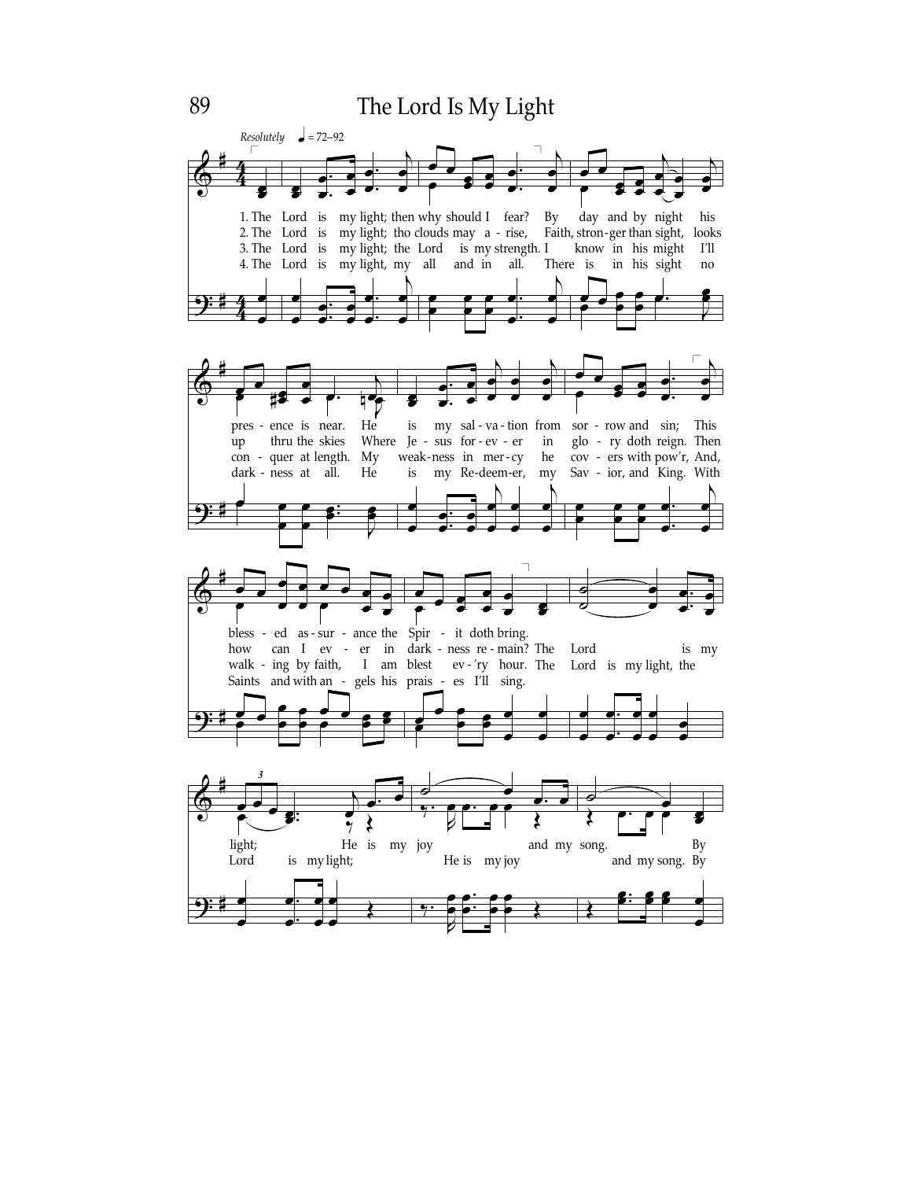